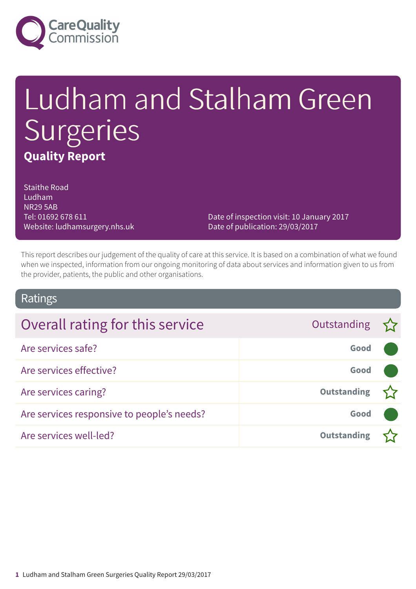

# Ludham and Stalham Green **Surgeries Quality Report**

Staithe Road Ludham NR29 5AB Tel: 01692 678 611 Website: ludhamsurgery.nhs.uk

Date of inspection visit: 10 January 2017 Date of publication: 29/03/2017

This report describes our judgement of the quality of care at this service. It is based on a combination of what we found when we inspected, information from our ongoing monitoring of data about services and information given to us from the provider, patients, the public and other organisations.

### Ratings

| Overall rating for this service            | Outstanding $\sum$ |  |
|--------------------------------------------|--------------------|--|
| Are services safe?                         | Good               |  |
| Are services effective?                    | Good               |  |
| Are services caring?                       | <b>Outstanding</b> |  |
| Are services responsive to people's needs? | Good               |  |
| Are services well-led?                     | <b>Outstanding</b> |  |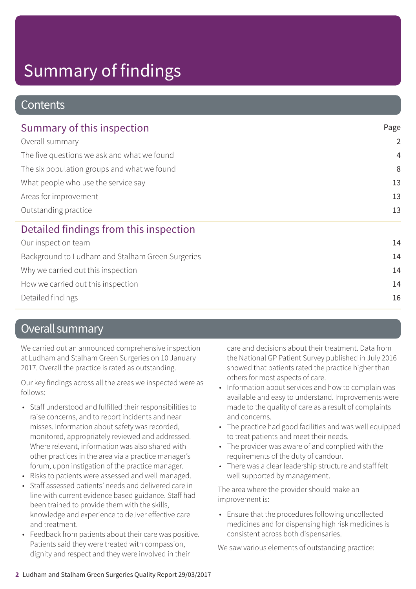### **Contents**

| Summary of this inspection                                                                                                                                                                            | Page           |  |
|-------------------------------------------------------------------------------------------------------------------------------------------------------------------------------------------------------|----------------|--|
| Overall summary<br>The five questions we ask and what we found<br>The six population groups and what we found<br>What people who use the service say<br>Areas for improvement<br>Outstanding practice | $\overline{2}$ |  |
|                                                                                                                                                                                                       | $\overline{4}$ |  |
|                                                                                                                                                                                                       | 8              |  |
|                                                                                                                                                                                                       | 13             |  |
|                                                                                                                                                                                                       | 13             |  |
|                                                                                                                                                                                                       | 13             |  |
| Detailed findings from this inspection                                                                                                                                                                |                |  |
| Our inspection team                                                                                                                                                                                   | 14             |  |
| Background to Ludham and Stalham Green Surgeries                                                                                                                                                      | 14             |  |
| Why we carried out this inspection                                                                                                                                                                    | 14             |  |
| How we carried out this inspection                                                                                                                                                                    | 14             |  |
|                                                                                                                                                                                                       |                |  |

Detailed findings 16

### Overall summary

We carried out an announced comprehensive inspection at Ludham and Stalham Green Surgeries on 10 January 2017. Overall the practice is rated as outstanding.

Our key findings across all the areas we inspected were as follows:

- Staff understood and fulfilled their responsibilities to raise concerns, and to report incidents and near misses. Information about safety was recorded, monitored, appropriately reviewed and addressed. Where relevant, information was also shared with other practices in the area via a practice manager's forum, upon instigation of the practice manager.
- Risks to patients were assessed and well managed.
- Staff assessed patients' needs and delivered care in line with current evidence based guidance. Staff had been trained to provide them with the skills, knowledge and experience to deliver effective care and treatment.
- Feedback from patients about their care was positive. Patients said they were treated with compassion, dignity and respect and they were involved in their

care and decisions about their treatment. Data from the National GP Patient Survey published in July 2016 showed that patients rated the practice higher than others for most aspects of care.

- Information about services and how to complain was available and easy to understand. Improvements were made to the quality of care as a result of complaints and concerns.
- The practice had good facilities and was well equipped to treat patients and meet their needs.
- The provider was aware of and complied with the requirements of the duty of candour.
- There was a clear leadership structure and staff felt well supported by management.

The area where the provider should make an improvement is:

• Ensure that the procedures following uncollected medicines and for dispensing high risk medicines is consistent across both dispensaries.

We saw various elements of outstanding practice: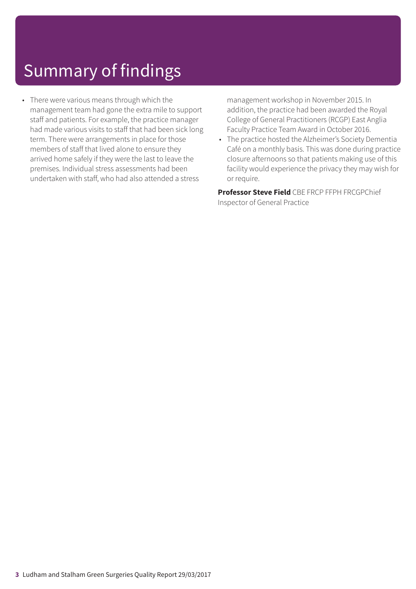• There were various means through which the management team had gone the extra mile to support staff and patients. For example, the practice manager had made various visits to staff that had been sick long term. There were arrangements in place for those members of staff that lived alone to ensure they arrived home safely if they were the last to leave the premises. Individual stress assessments had been undertaken with staff, who had also attended a stress

management workshop in November 2015. In addition, the practice had been awarded the Royal College of General Practitioners (RCGP) East Anglia Faculty Practice Team Award in October 2016.

• The practice hosted the Alzheimer's Society Dementia Café on a monthly basis. This was done during practice closure afternoons so that patients making use of this facility would experience the privacy they may wish for or require.

**Professor Steve Field** CBE FRCP FFPH FRCGPChief Inspector of General Practice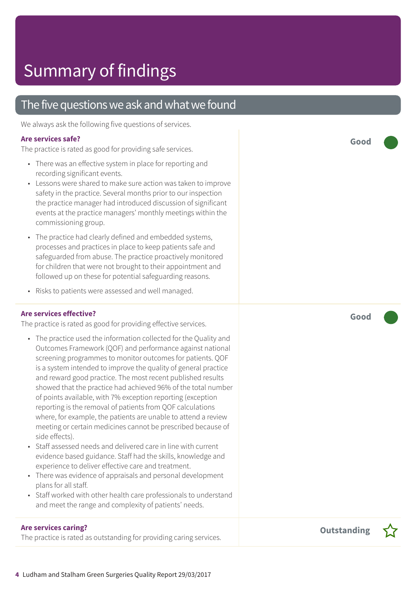### The five questions we ask and what we found

We always ask the following five questions of services.

#### **Are services safe?**

The practice is rated as good for providing safe services.

- There was an effective system in place for reporting and recording significant events.
- Lessons were shared to make sure action was taken to improve safety in the practice. Several months prior to our inspection the practice manager had introduced discussion of significant events at the practice managers' monthly meetings within the commissioning group.
- The practice had clearly defined and embedded systems, processes and practices in place to keep patients safe and safeguarded from abuse. The practice proactively monitored for children that were not brought to their appointment and followed up on these for potential safeguarding reasons.
- Risks to patients were assessed and well managed.

### **Are services effective?**

The practice is rated as good for providing effective services.

- The practice used the information collected for the Quality and Outcomes Framework (QOF) and performance against national screening programmes to monitor outcomes for patients. QOF is a system intended to improve the quality of general practice and reward good practice. The most recent published results showed that the practice had achieved 96% of the total number of points available, with 7% exception reporting (exception reporting is the removal of patients from QOF calculations where, for example, the patients are unable to attend a review meeting or certain medicines cannot be prescribed because of side effects).
- Staff assessed needs and delivered care in line with current evidence based guidance. Staff had the skills, knowledge and experience to deliver effective care and treatment.
- There was evidence of appraisals and personal development plans for all staff.
- Staff worked with other health care professionals to understand and meet the range and complexity of patients' needs.

### **Are services caring?**

The practice is rated as outstanding for providing caring services.

**Good –––**

**Good –––**



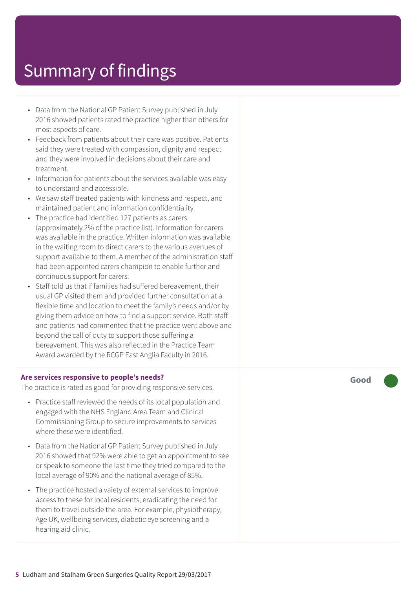- Data from the National GP Patient Survey published in July 2016 showed patients rated the practice higher than others for most aspects of care.
- Feedback from patients about their care was positive. Patients said they were treated with compassion, dignity and respect and they were involved in decisions about their care and treatment.
- Information for patients about the services available was easy to understand and accessible.
- We saw staff treated patients with kindness and respect, and maintained patient and information confidentiality.
- The practice had identified 127 patients as carers (approximately 2% of the practice list). Information for carers was available in the practice. Written information was available in the waiting room to direct carers to the various avenues of support available to them. A member of the administration staff had been appointed carers champion to enable further and continuous support for carers.
- Staff told us that if families had suffered bereavement, their usual GP visited them and provided further consultation at a flexible time and location to meet the family's needs and/or by giving them advice on how to find a support service. Both staff and patients had commented that the practice went above and beyond the call of duty to support those suffering a bereavement. This was also reflected in the Practice Team Award awarded by the RCGP East Anglia Faculty in 2016.

#### **Are services responsive to people's needs?**

The practice is rated as good for providing responsive services.

- Practice staff reviewed the needs of its local population and engaged with the NHS England Area Team and Clinical Commissioning Group to secure improvements to services where these were identified.
- Data from the National GP Patient Survey published in July 2016 showed that 92% were able to get an appointment to see or speak to someone the last time they tried compared to the local average of 90% and the national average of 85%.
- The practice hosted a vaiety of external services to improve access to these for local residents, eradicating the need for them to travel outside the area. For example, physiotherapy, Age UK, wellbeing services, diabetic eye screening and a hearing aid clinic.

**Good –––**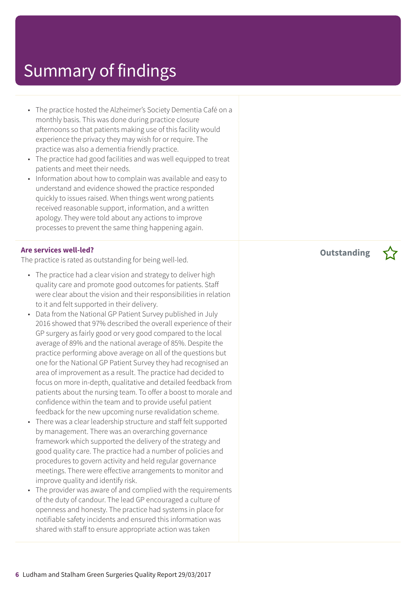- The practice hosted the Alzheimer's Society Dementia Café on a monthly basis. This was done during practice closure afternoons so that patients making use of this facility would experience the privacy they may wish for or require. The practice was also a dementia friendly practice.
- The practice had good facilities and was well equipped to treat patients and meet their needs.
- Information about how to complain was available and easy to understand and evidence showed the practice responded quickly to issues raised. When things went wrong patients received reasonable support, information, and a written apology. They were told about any actions to improve processes to prevent the same thing happening again.

#### **Are services well-led?**

The practice is rated as outstanding for being well-led.

- The practice had a clear vision and strategy to deliver high quality care and promote good outcomes for patients. Staff were clear about the vision and their responsibilities in relation to it and felt supported in their delivery.
- Data from the National GP Patient Survey published in July 2016 showed that 97% described the overall experience of their GP surgery as fairly good or very good compared to the local average of 89% and the national average of 85%. Despite the practice performing above average on all of the questions but one for the National GP Patient Survey they had recognised an area of improvement as a result. The practice had decided to focus on more in-depth, qualitative and detailed feedback from patients about the nursing team. To offer a boost to morale and confidence within the team and to provide useful patient feedback for the new upcoming nurse revalidation scheme.
- There was a clear leadership structure and staff felt supported by management. There was an overarching governance framework which supported the delivery of the strategy and good quality care. The practice had a number of policies and procedures to govern activity and held regular governance meetings. There were effective arrangements to monitor and improve quality and identify risk.
- The provider was aware of and complied with the requirements of the duty of candour. The lead GP encouraged a culture of openness and honesty. The practice had systems in place for notifiable safety incidents and ensured this information was shared with staff to ensure appropriate action was taken

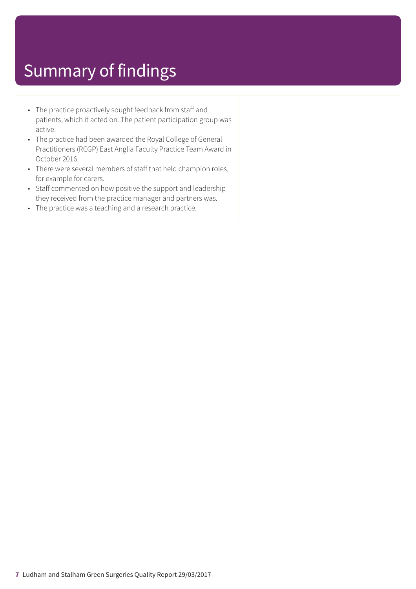- The practice proactively sought feedback from staff and patients, which it acted on. The patient participation group was active.
- The practice had been awarded the Royal College of General Practitioners (RCGP) East Anglia Faculty Practice Team Award in October 2016.
- There were several members of staff that held champion roles, for example for carers.
- Staff commented on how positive the support and leadership they received from the practice manager and partners was.
- The practice was a teaching and a research practice.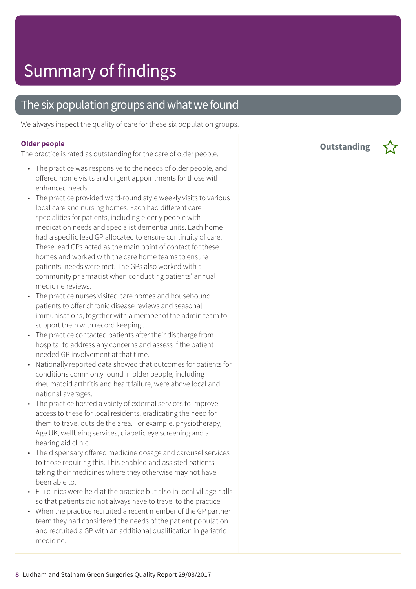### The six population groups and what we found

We always inspect the quality of care for these six population groups.

#### **Older people**

The practice is rated as outstanding for the care of older people.

- The practice was responsive to the needs of older people, and offered home visits and urgent appointments for those with enhanced needs.
- The practice provided ward-round style weekly visits to various local care and nursing homes. Each had different care specialities for patients, including elderly people with medication needs and specialist dementia units. Each home had a specific lead GP allocated to ensure continuity of care. These lead GPs acted as the main point of contact for these homes and worked with the care home teams to ensure patients' needs were met. The GPs also worked with a community pharmacist when conducting patients' annual medicine reviews.
- The practice nurses visited care homes and housebound patients to offer chronic disease reviews and seasonal immunisations, together with a member of the admin team to support them with record keeping..
- The practice contacted patients after their discharge from hospital to address any concerns and assess if the patient needed GP involvement at that time.
- Nationally reported data showed that outcomes for patients for conditions commonly found in older people, including rheumatoid arthritis and heart failure, were above local and national averages.
- The practice hosted a vaiety of external services to improve access to these for local residents, eradicating the need for them to travel outside the area. For example, physiotherapy, Age UK, wellbeing services, diabetic eye screening and a hearing aid clinic.
- The dispensary offered medicine dosage and carousel services to those requiring this. This enabled and assisted patients taking their medicines where they otherwise may not have been able to.
- Flu clinics were held at the practice but also in local village halls so that patients did not always have to travel to the practice.
- When the practice recruited a recent member of the GP partner team they had considered the needs of the patient population and recruited a GP with an additional qualification in geriatric medicine.

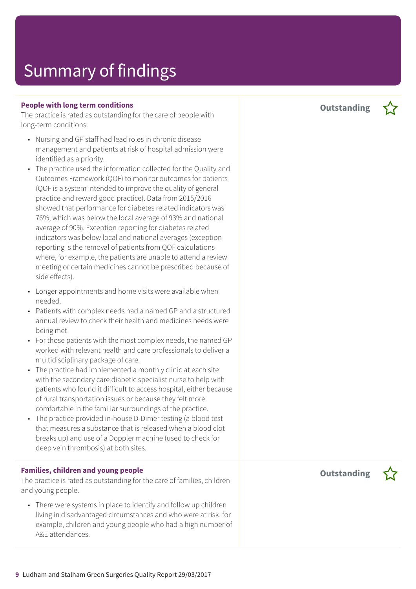#### **People with long term conditions**

The practice is rated as outstanding for the care of people with long-term conditions.

- Nursing and GP staff had lead roles in chronic disease management and patients at risk of hospital admission were identified as a priority.
- The practice used the information collected for the Quality and Outcomes Framework (QOF) to monitor outcomes for patients (QOF is a system intended to improve the quality of general practice and reward good practice). Data from 2015/2016 showed that performance for diabetes related indicators was 76%, which was below the local average of 93% and national average of 90%. Exception reporting for diabetes related indicators was below local and national averages (exception reporting is the removal of patients from QOF calculations where, for example, the patients are unable to attend a review meeting or certain medicines cannot be prescribed because of side effects).
- Longer appointments and home visits were available when needed.
- Patients with complex needs had a named GP and a structured annual review to check their health and medicines needs were being met.
- For those patients with the most complex needs, the named GP worked with relevant health and care professionals to deliver a multidisciplinary package of care.
- The practice had implemented a monthly clinic at each site with the secondary care diabetic specialist nurse to help with patients who found it difficult to access hospital, either because of rural transportation issues or because they felt more comfortable in the familiar surroundings of the practice.
- The practice provided in-house D-Dimer testing (a blood test that measures a substance that is released when a blood clot breaks up) and use of a Doppler machine (used to check for deep vein thrombosis) at both sites.

#### **Families, children and young people**

The practice is rated as outstanding for the care of families, children and young people.

• There were systems in place to identify and follow up children living in disadvantaged circumstances and who were at risk, for example, children and young people who had a high number of A&E attendances.

**Outstanding –**

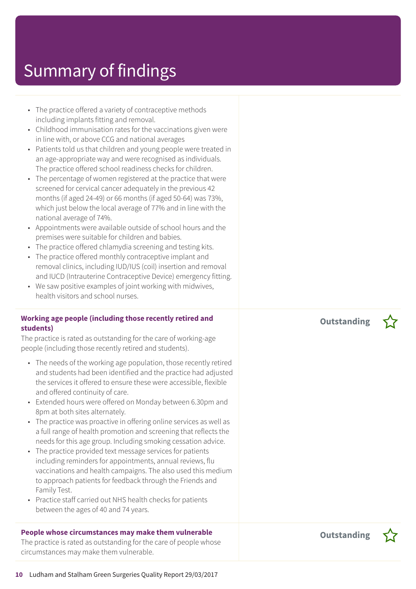- The practice offered a variety of contraceptive methods including implants fitting and removal.
- Childhood immunisation rates for the vaccinations given were in line with, or above CCG and national averages
- Patients told us that children and young people were treated in an age-appropriate way and were recognised as individuals. The practice offered school readiness checks for children.
- The percentage of women registered at the practice that were screened for cervical cancer adequately in the previous 42 months (if aged 24-49) or 66 months (if aged 50-64) was 73%, which just below the local average of 77% and in line with the national average of 74%.
- Appointments were available outside of school hours and the premises were suitable for children and babies.
- The practice offered chlamydia screening and testing kits.
- The practice offered monthly contraceptive implant and removal clinics, including IUD/IUS (coil) insertion and removal and IUCD (Intrauterine Contraceptive Device) emergency fitting.
- We saw positive examples of joint working with midwives, health visitors and school nurses.

### **Working age people (including those recently retired and students)**

The practice is rated as outstanding for the care of working-age people (including those recently retired and students).

- The needs of the working age population, those recently retired and students had been identified and the practice had adjusted the services it offered to ensure these were accessible, flexible and offered continuity of care.
- Extended hours were offered on Monday between 6.30pm and 8pm at both sites alternately.
- The practice was proactive in offering online services as well as a full range of health promotion and screening that reflects the needs for this age group. Including smoking cessation advice.
- The practice provided text message services for patients including reminders for appointments, annual reviews, flu vaccinations and health campaigns. The also used this medium to approach patients for feedback through the Friends and Family Test.
- Practice staff carried out NHS health checks for patients between the ages of 40 and 74 years.

### **People whose circumstances may make them vulnerable**

The practice is rated as outstanding for the care of people whose circumstances may make them vulnerable.

**Outstanding –**



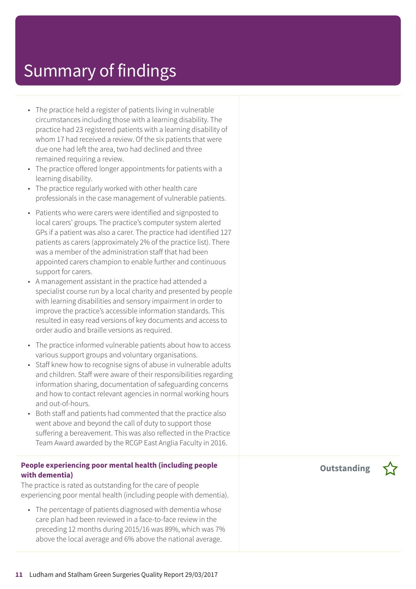- The practice held a register of patients living in vulnerable circumstances including those with a learning disability. The practice had 23 registered patients with a learning disability of whom 17 had received a review. Of the six patients that were due one had left the area, two had declined and three remained requiring a review.
- The practice offered longer appointments for patients with a learning disability.
- The practice regularly worked with other health care professionals in the case management of vulnerable patients.
- Patients who were carers were identified and signposted to local carers' groups. The practice's computer system alerted GPs if a patient was also a carer. The practice had identified 127 patients as carers (approximately 2% of the practice list). There was a member of the administration staff that had been appointed carers champion to enable further and continuous support for carers.
- A management assistant in the practice had attended a specialist course run by a local charity and presented by people with learning disabilities and sensory impairment in order to improve the practice's accessible information standards. This resulted in easy read versions of key documents and access to order audio and braille versions as required.
- The practice informed vulnerable patients about how to access various support groups and voluntary organisations.
- Staff knew how to recognise signs of abuse in vulnerable adults and children. Staff were aware of their responsibilities regarding information sharing, documentation of safeguarding concerns and how to contact relevant agencies in normal working hours and out-of-hours.
- Both staff and patients had commented that the practice also went above and beyond the call of duty to support those suffering a bereavement. This was also reflected in the Practice Team Award awarded by the RCGP East Anglia Faculty in 2016.

#### **People experiencing poor mental health (including people with dementia)**

The practice is rated as outstanding for the care of people experiencing poor mental health (including people with dementia).

• The percentage of patients diagnosed with dementia whose care plan had been reviewed in a face-to-face review in the preceding 12 months during 2015/16 was 89%, which was 7% above the local average and 6% above the national average.

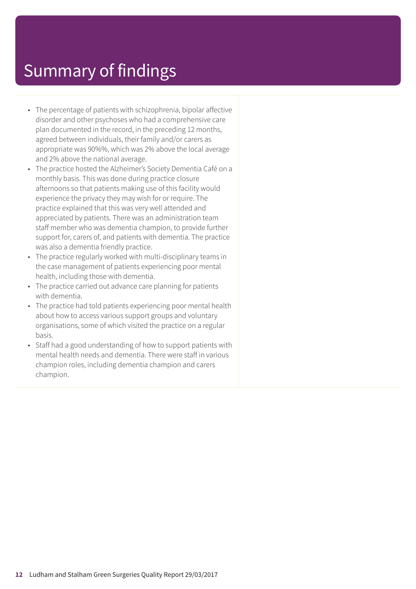- The percentage of patients with schizophrenia, bipolar affective disorder and other psychoses who had a comprehensive care plan documented in the record, in the preceding 12 months, agreed between individuals, their family and/or carers as appropriate was 90%%, which was 2% above the local average and 2% above the national average.
- The practice hosted the Alzheimer's Society Dementia Café on a monthly basis. This was done during practice closure afternoons so that patients making use of this facility would experience the privacy they may wish for or require. The practice explained that this was very well attended and appreciated by patients. There was an administration team staff member who was dementia champion, to provide further support for, carers of, and patients with dementia. The practice was also a dementia friendly practice.
- The practice regularly worked with multi-disciplinary teams in the case management of patients experiencing poor mental health, including those with dementia.
- The practice carried out advance care planning for patients with dementia.
- The practice had told patients experiencing poor mental health about how to access various support groups and voluntary organisations, some of which visited the practice on a regular basis.
- Staff had a good understanding of how to support patients with mental health needs and dementia. There were staff in various champion roles, including dementia champion and carers champion.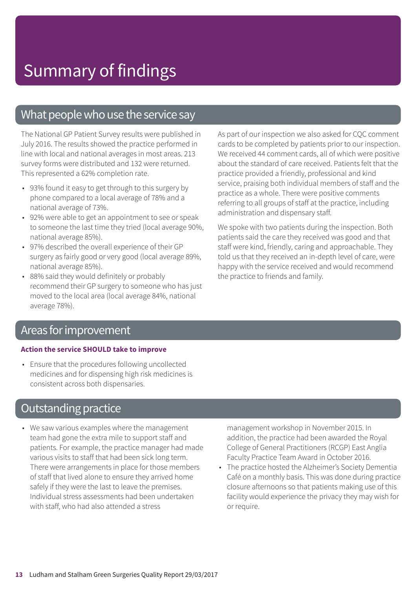### What people who use the service say

The National GP Patient Survey results were published in July 2016. The results showed the practice performed in line with local and national averages in most areas. 213 survey forms were distributed and 132 were returned. This represented a 62% completion rate.

- 93% found it easy to get through to this surgery by phone compared to a local average of 78% and a national average of 73%.
- 92% were able to get an appointment to see or speak to someone the last time they tried (local average 90%, national average 85%).
- 97% described the overall experience of their GP surgery as fairly good or very good (local average 89%, national average 85%).
- 88% said they would definitely or probably recommend their GP surgery to someone who has just moved to the local area (local average 84%, national average 78%).

As part of our inspection we also asked for CQC comment cards to be completed by patients prior to our inspection. We received 44 comment cards, all of which were positive about the standard of care received. Patients felt that the practice provided a friendly, professional and kind service, praising both individual members of staff and the practice as a whole. There were positive comments referring to all groups of staff at the practice, including administration and dispensary staff.

We spoke with two patients during the inspection. Both patients said the care they received was good and that staff were kind, friendly, caring and approachable. They told us that they received an in-depth level of care, were happy with the service received and would recommend the practice to friends and family.

### Areas forimprovement

#### **Action the service SHOULD take to improve**

• Ensure that the procedures following uncollected medicines and for dispensing high risk medicines is consistent across both dispensaries.

### **Outstanding practice**

• We saw various examples where the management team had gone the extra mile to support staff and patients. For example, the practice manager had made various visits to staff that had been sick long term. There were arrangements in place for those members of staff that lived alone to ensure they arrived home safely if they were the last to leave the premises. Individual stress assessments had been undertaken with staff, who had also attended a stress

management workshop in November 2015. In addition, the practice had been awarded the Royal College of General Practitioners (RCGP) East Anglia Faculty Practice Team Award in October 2016.

• The practice hosted the Alzheimer's Society Dementia Café on a monthly basis. This was done during practice closure afternoons so that patients making use of this facility would experience the privacy they may wish for or require.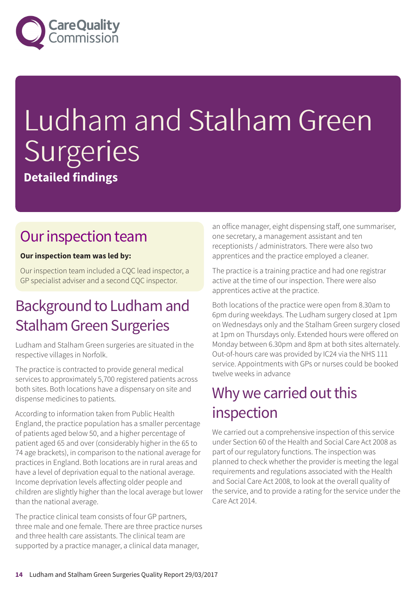

# Ludham and Stalham Green Surgeries **Detailed findings**

### Our inspection team

### **Our inspection team was led by:**

Our inspection team included a CQC lead inspector, a GP specialist adviser and a second CQC inspector.

### Background to Ludham and StalhamGreen Surgeries

Ludham and Stalham Green surgeries are situated in the respective villages in Norfolk.

The practice is contracted to provide general medical services to approximately 5,700 registered patients across both sites. Both locations have a dispensary on site and dispense medicines to patients.

According to information taken from Public Health England, the practice population has a smaller percentage of patients aged below 50, and a higher percentage of patient aged 65 and over (considerably higher in the 65 to 74 age brackets), in comparison to the national average for practices in England. Both locations are in rural areas and have a level of deprivation equal to the national average. Income deprivation levels affecting older people and children are slightly higher than the local average but lower than the national average.

The practice clinical team consists of four GP partners, three male and one female. There are three practice nurses and three health care assistants. The clinical team are supported by a practice manager, a clinical data manager,

an office manager, eight dispensing staff, one summariser, one secretary, a management assistant and ten receptionists / administrators. There were also two apprentices and the practice employed a cleaner.

The practice is a training practice and had one registrar active at the time of our inspection. There were also apprentices active at the practice.

Both locations of the practice were open from 8.30am to 6pm during weekdays. The Ludham surgery closed at 1pm on Wednesdays only and the Stalham Green surgery closed at 1pm on Thursdays only. Extended hours were offered on Monday between 6.30pm and 8pm at both sites alternately. Out-of-hours care was provided by IC24 via the NHS 111 service. Appointments with GPs or nurses could be booked twelve weeks in advance

### Why we carried out this inspection

We carried out a comprehensive inspection of this service under Section 60 of the Health and Social Care Act 2008 as part of our regulatory functions. The inspection was planned to check whether the provider is meeting the legal requirements and regulations associated with the Health and Social Care Act 2008, to look at the overall quality of the service, and to provide a rating for the service under the Care Act 2014.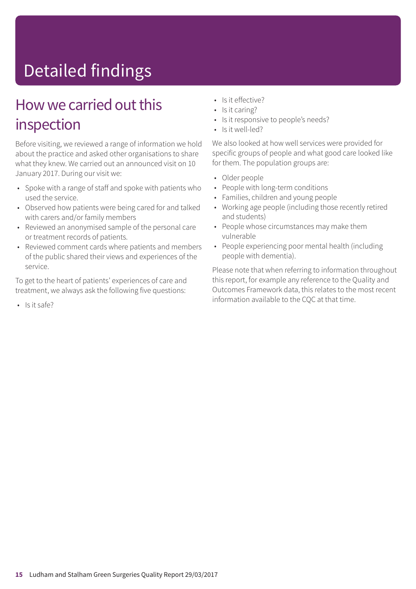# Detailed findings

### How we carried out this inspection

Before visiting, we reviewed a range of information we hold about the practice and asked other organisations to share what they knew. We carried out an announced visit on 10 January 2017. During our visit we:

- Spoke with a range of staff and spoke with patients who used the service.
- Observed how patients were being cared for and talked with carers and/or family members
- Reviewed an anonymised sample of the personal care or treatment records of patients.
- Reviewed comment cards where patients and members of the public shared their views and experiences of the service.

To get to the heart of patients' experiences of care and treatment, we always ask the following five questions:

• Is it safe?

- Is it effective?
- Is it caring?
- Is it responsive to people's needs?
- Is it well-led?

We also looked at how well services were provided for specific groups of people and what good care looked like for them. The population groups are:

- Older people
- People with long-term conditions
- Families, children and young people
- Working age people (including those recently retired and students)
- People whose circumstances may make them vulnerable
- People experiencing poor mental health (including people with dementia).

Please note that when referring to information throughout this report, for example any reference to the Quality and Outcomes Framework data, this relates to the most recent information available to the CQC at that time.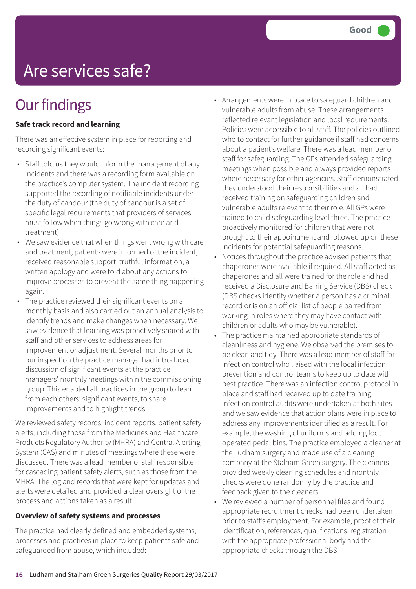## Are services safe?

## **Our findings**

### **Safe track record and learning**

There was an effective system in place for reporting and recording significant events:

- Staff told us they would inform the management of any incidents and there was a recording form available on the practice's computer system. The incident recording supported the recording of notifiable incidents under the duty of candour (the duty of candour is a set of specific legal requirements that providers of services must follow when things go wrong with care and treatment).
- We saw evidence that when things went wrong with care and treatment, patients were informed of the incident, received reasonable support, truthful information, a written apology and were told about any actions to improve processes to prevent the same thing happening again.
- The practice reviewed their significant events on a monthly basis and also carried out an annual analysis to identify trends and make changes when necessary. We saw evidence that learning was proactively shared with staff and other services to address areas for improvement or adjustment. Several months prior to our inspection the practice manager had introduced discussion of significant events at the practice managers' monthly meetings within the commissioning group. This enabled all practices in the group to learn from each others' significant events, to share improvements and to highlight trends.

We reviewed safety records, incident reports, patient safety alerts, including those from the Medicines and Healthcare Products Regulatory Authority (MHRA) and Central Alerting System (CAS) and minutes of meetings where these were discussed. There was a lead member of staff responsible for cascading patient safety alerts, such as those from the MHRA. The log and records that were kept for updates and alerts were detailed and provided a clear oversight of the process and actions taken as a result.

#### **Overview of safety systems and processes**

The practice had clearly defined and embedded systems, processes and practices in place to keep patients safe and safeguarded from abuse, which included:

- Arrangements were in place to safeguard children and vulnerable adults from abuse. These arrangements reflected relevant legislation and local requirements. Policies were accessible to all staff. The policies outlined who to contact for further guidance if staff had concerns about a patient's welfare. There was a lead member of staff for safeguarding. The GPs attended safeguarding meetings when possible and always provided reports where necessary for other agencies. Staff demonstrated they understood their responsibilities and all had received training on safeguarding children and vulnerable adults relevant to their role. All GPs were trained to child safeguarding level three. The practice proactively monitored for children that were not brought to their appointment and followed up on these incidents for potential safeguarding reasons.
- Notices throughout the practice advised patients that chaperones were available if required. All staff acted as chaperones and all were trained for the role and had received a Disclosure and Barring Service (DBS) check (DBS checks identify whether a person has a criminal record or is on an official list of people barred from working in roles where they may have contact with children or adults who may be vulnerable).
- The practice maintained appropriate standards of cleanliness and hygiene. We observed the premises to be clean and tidy. There was a lead member of staff for infection control who liaised with the local infection prevention and control teams to keep up to date with best practice. There was an infection control protocol in place and staff had received up to date training. Infection control audits were undertaken at both sites and we saw evidence that action plans were in place to address any improvements identified as a result. For example, the washing of uniforms and adding foot operated pedal bins. The practice employed a cleaner at the Ludham surgery and made use of a cleaning company at the Stalham Green surgery. The cleaners provided weekly cleaning schedules and monthly checks were done randomly by the practice and feedback given to the cleaners.
- We reviewed a number of personnel files and found appropriate recruitment checks had been undertaken prior to staff's employment. For example, proof of their identification, references, qualifications, registration with the appropriate professional body and the appropriate checks through the DBS.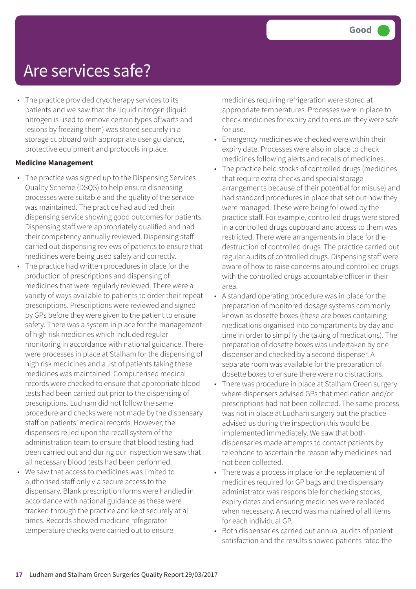### Are services safe?

• The practice provided cryotherapy services to its patients and we saw that the liquid nitrogen (liquid nitrogen is used to remove certain types of warts and lesions by freezing them) was stored securely in a storage cupboard with appropriate user guidance, protective equipment and protocols in place.

#### **Medicine Management**

- The practice was signed up to the Dispensing Services Quality Scheme (DSQS) to help ensure dispensing processes were suitable and the quality of the service was maintained. The practice had audited their dispensing service showing good outcomes for patients. Dispensing staff were appropriately qualified and had their competency annually reviewed. Dispensing staff carried out dispensing reviews of patients to ensure that medicines were being used safely and correctly.
- The practice had written procedures in place for the production of prescriptions and dispensing of medicines that were regularly reviewed. There were a variety of ways available to patients to order their repeat prescriptions. Prescriptions were reviewed and signed by GPs before they were given to the patient to ensure safety. There was a system in place for the management of high risk medicines which included regular monitoring in accordance with national guidance. There were processes in place at Stalham for the dispensing of high risk medicines and a list of patients taking these medicines was maintained. Computerised medical records were checked to ensure that appropriate blood tests had been carried out prior to the dispensing of prescriptions. Ludham did not follow the same procedure and checks were not made by the dispensary staff on patients' medical records. However, the dispensers relied upon the recall system of the administration team to ensure that blood testing had been carried out and during our inspection we saw that all necessary blood tests had been performed.
- We saw that access to medicines was limited to authorised staff only via secure access to the dispensary. Blank prescription forms were handled in accordance with national guidance as these were tracked through the practice and kept securely at all times. Records showed medicine refrigerator temperature checks were carried out to ensure

medicines requiring refrigeration were stored at appropriate temperatures. Processes were in place to check medicines for expiry and to ensure they were safe for use.

- Emergency medicines we checked were within their expiry date. Processes were also in place to check medicines following alerts and recalls of medicines.
- The practice held stocks of controlled drugs (medicines that require extra checks and special storage arrangements because of their potential for misuse) and had standard procedures in place that set out how they were managed. These were being followed by the practice staff. For example, controlled drugs were stored in a controlled drugs cupboard and access to them was restricted. There were arrangements in place for the destruction of controlled drugs. The practice carried out regular audits of controlled drugs. Dispensing staff were aware of how to raise concerns around controlled drugs with the controlled drugs accountable officer in their area.
- A standard operating procedure was in place for the preparation of monitored dosage systems commonly known as dosette boxes (these are boxes containing medications organised into compartments by day and time in order to simplify the taking of medications). The preparation of dosette boxes was undertaken by one dispenser and checked by a second dispenser. A separate room was available for the preparation of dosette boxes to ensure there were no distractions.
- There was procedure in place at Stalham Green surgery where dispensers advised GPs that medication and/or prescriptions had not been collected. The same process was not in place at Ludham surgery but the practice advised us during the inspection this would be implemented immediately. We saw that both dispensaries made attempts to contact patients by telephone to ascertain the reason why medicines had not been collected.
- There was a process in place for the replacement of medicines required for GP bags and the dispensary administrator was responsible for checking stocks, expiry dates and ensuring medicines were replaced when necessary. A record was maintained of all items for each individual GP.
- Both dispensaries carried out annual audits of patient satisfaction and the results showed patients rated the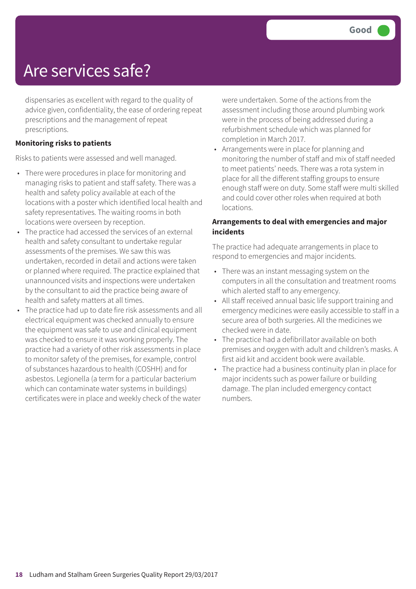### Are services safe?

dispensaries as excellent with regard to the quality of advice given, confidentiality, the ease of ordering repeat prescriptions and the management of repeat prescriptions.

#### **Monitoring risks to patients**

Risks to patients were assessed and well managed.

- There were procedures in place for monitoring and managing risks to patient and staff safety. There was a health and safety policy available at each of the locations with a poster which identified local health and safety representatives. The waiting rooms in both locations were overseen by reception.
- The practice had accessed the services of an external health and safety consultant to undertake regular assessments of the premises. We saw this was undertaken, recorded in detail and actions were taken or planned where required. The practice explained that unannounced visits and inspections were undertaken by the consultant to aid the practice being aware of health and safety matters at all times.
- The practice had up to date fire risk assessments and all electrical equipment was checked annually to ensure the equipment was safe to use and clinical equipment was checked to ensure it was working properly. The practice had a variety of other risk assessments in place to monitor safety of the premises, for example, control of substances hazardous to health (COSHH) and for asbestos. Legionella (a term for a particular bacterium which can contaminate water systems in buildings) certificates were in place and weekly check of the water

were undertaken. Some of the actions from the assessment including those around plumbing work were in the process of being addressed during a refurbishment schedule which was planned for completion in March 2017.

• Arrangements were in place for planning and monitoring the number of staff and mix of staff needed to meet patients' needs. There was a rota system in place for all the different staffing groups to ensure enough staff were on duty. Some staff were multi skilled and could cover other roles when required at both locations.

#### **Arrangements to deal with emergencies and major incidents**

The practice had adequate arrangements in place to respond to emergencies and major incidents.

- There was an instant messaging system on the computers in all the consultation and treatment rooms which alerted staff to any emergency.
- All staff received annual basic life support training and emergency medicines were easily accessible to staff in a secure area of both surgeries. All the medicines we checked were in date.
- The practice had a defibrillator available on both premises and oxygen with adult and children's masks. A first aid kit and accident book were available.
- The practice had a business continuity plan in place for major incidents such as power failure or building damage. The plan included emergency contact numbers.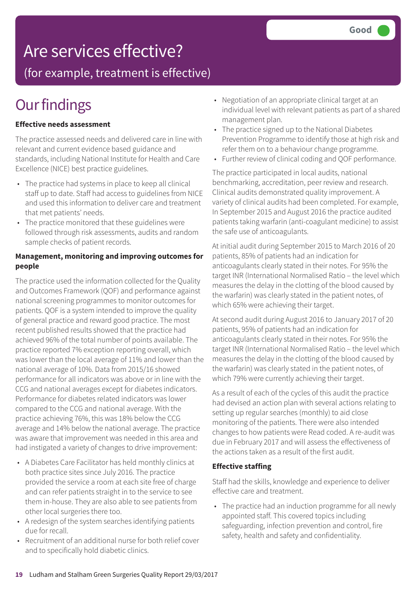### Are services effective?

(for example, treatment is effective)

## **Our findings**

#### **Effective needs assessment**

The practice assessed needs and delivered care in line with relevant and current evidence based guidance and standards, including National Institute for Health and Care Excellence (NICE) best practice guidelines.

- The practice had systems in place to keep all clinical staff up to date. Staff had access to guidelines from NICE and used this information to deliver care and treatment that met patients' needs.
- The practice monitored that these guidelines were followed through risk assessments, audits and random sample checks of patient records.

#### **Management, monitoring and improving outcomes for people**

The practice used the information collected for the Quality and Outcomes Framework (QOF) and performance against national screening programmes to monitor outcomes for patients. QOF is a system intended to improve the quality of general practice and reward good practice. The most recent published results showed that the practice had achieved 96% of the total number of points available. The practice reported 7% exception reporting overall, which was lower than the local average of 11% and lower than the national average of 10%. Data from 2015/16 showed performance for all indicators was above or in line with the CCG and national averages except for diabetes indicators. Performance for diabetes related indicators was lower compared to the CCG and national average. With the practice achieving 76%, this was 18% below the CCG average and 14% below the national average. The practice was aware that improvement was needed in this area and had instigated a variety of changes to drive improvement:

- A Diabetes Care Facilitator has held monthly clinics at both practice sites since July 2016. The practice provided the service a room at each site free of charge and can refer patients straight in to the service to see them in-house. They are also able to see patients from other local surgeries there too.
- A redesign of the system searches identifying patients due for recall.
- Recruitment of an additional nurse for both relief cover and to specifically hold diabetic clinics.
- Negotiation of an appropriate clinical target at an individual level with relevant patients as part of a shared management plan.
- The practice signed up to the National Diabetes Prevention Programme to identify those at high risk and refer them on to a behaviour change programme.
- Further review of clinical coding and QOF performance.

The practice participated in local audits, national benchmarking, accreditation, peer review and research. Clinical audits demonstrated quality improvement. A variety of clinical audits had been completed. For example, In September 2015 and August 2016 the practice audited patients taking warfarin (anti-coagulant medicine) to assist the safe use of anticoagulants.

At initial audit during September 2015 to March 2016 of 20 patients, 85% of patients had an indication for anticoagulants clearly stated in their notes. For 95% the target INR (International Normalised Ratio – the level which measures the delay in the clotting of the blood caused by the warfarin) was clearly stated in the patient notes, of which 65% were achieving their target.

At second audit during August 2016 to January 2017 of 20 patients, 95% of patients had an indication for anticoagulants clearly stated in their notes. For 95% the target INR (International Normalised Ratio – the level which measures the delay in the clotting of the blood caused by the warfarin) was clearly stated in the patient notes, of which 79% were currently achieving their target.

As a result of each of the cycles of this audit the practice had devised an action plan with several actions relating to setting up regular searches (monthly) to aid close monitoring of the patients. There were also intended changes to how patients were Read coded. A re-audit was due in February 2017 and will assess the effectiveness of the actions taken as a result of the first audit.

### **Effective staffing**

Staff had the skills, knowledge and experience to deliver effective care and treatment.

• The practice had an induction programme for all newly appointed staff. This covered topics including safeguarding, infection prevention and control, fire safety, health and safety and confidentiality.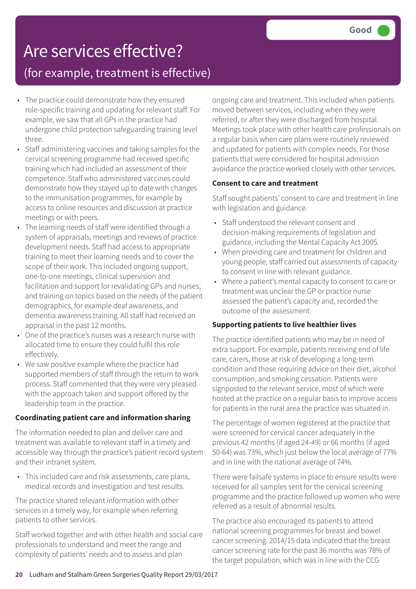### Are services effective?

### (for example, treatment is effective)

- The practice could demonstrate how they ensured role-specific training and updating for relevant staff. For example, we saw that all GPs in the practice had undergone child protection safeguarding training level three.
- Staff administering vaccines and taking samples for the cervical screening programme had received specific training which had included an assessment of their competence. Staff who administered vaccines could demonstrate how they stayed up to date with changes to the immunisation programmes, for example by access to online resources and discussion at practice meetings or with peers.
- The learning needs of staff were identified through a system of appraisals, meetings and reviews of practice development needs. Staff had access to appropriate training to meet their learning needs and to cover the scope of their work. This included ongoing support, one-to-one meetings, clinical supervision and facilitation and support for revalidating GPs and nurses; and training on topics based on the needs of the patient demographics, for example deaf awareness, and dementia awareness training. All staff had received an appraisal in the past 12 months.
- One of the practice's nurses was a research nurse with allocated time to ensure they could fulfil this role effectively.
- We saw positive example where the practice had supported members of staff through the return to work process. Staff commented that they were very pleased with the approach taken and support offered by the leadership team in the practice.

#### **Coordinating patient care and information sharing**

The information needed to plan and deliver care and treatment was available to relevant staff in a timely and accessible way through the practice's patient record system and their intranet system.

• This included care and risk assessments, care plans, medical records and investigation and test results.

The practice shared relevant information with other services in a timely way, for example when referring patients to other services.

Staff worked together and with other health and social care professionals to understand and meet the range and complexity of patients' needs and to assess and plan

ongoing care and treatment. This included when patients moved between services, including when they were referred, or after they were discharged from hospital. Meetings took place with other health care professionals on a regular basis when care plans were routinely reviewed and updated for patients with complex needs. For those patients that were considered for hospital admission avoidance the practice worked closely with other services.

#### **Consent to care and treatment**

Staff sought patients' consent to care and treatment in line with legislation and guidance.

- Staff understood the relevant consent and decision-making requirements of legislation and guidance, including the Mental Capacity Act 2005.
- When providing care and treatment for children and young people, staff carried out assessments of capacity to consent in line with relevant guidance.
- Where a patient's mental capacity to consent to care or treatment was unclear the GP or practice nurse assessed the patient's capacity and, recorded the outcome of the assessment.

#### **Supporting patients to live healthier lives**

The practice identified patients who may be in need of extra support. For example, patients receiving end of life care, carers, those at risk of developing a long-term condition and those requiring advice on their diet, alcohol consumption, and smoking cessation. Patients were signposted to the relevant service, most of which were hosted at the practice on a regular basis to improve access for patients in the rural area the practice was situated in.

The percentage of women registered at the practice that were screened for cervical cancer adequately in the previous 42 months (if aged 24-49) or 66 months (if aged 50-64) was 73%, which just below the local average of 77% and in line with the national average of 74%.

There were failsafe systems in place to ensure results were received for all samples sent for the cervical screening programme and the practice followed up women who were referred as a result of abnormal results.

The practice also encouraged its patients to attend national screening programmes for breast and bowel cancer screening. 2014/15 data indicated that the breast cancer screening rate for the past 36 months was 78% of the target population, which was in line with the CCG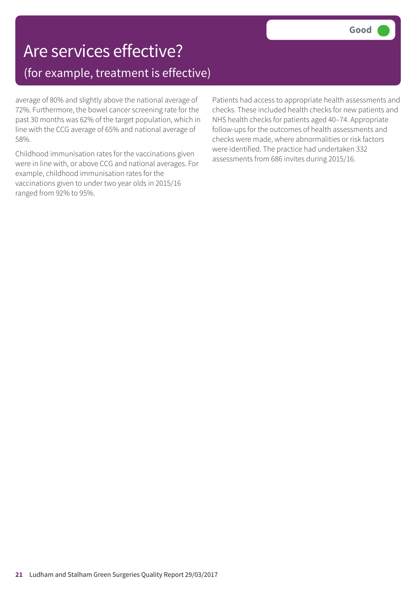### Are services effective? (for example, treatment is effective)

average of 80% and slightly above the national average of 72%. Furthermore, the bowel cancer screening rate for the past 30 months was 62% of the target population, which in line with the CCG average of 65% and national average of 58%.

Childhood immunisation rates for the vaccinations given were in line with, or above CCG and national averages. For example, childhood immunisation rates for the vaccinations given to under two year olds in 2015/16 ranged from 92% to 95%.

Patients had access to appropriate health assessments and checks. These included health checks for new patients and NHS health checks for patients aged 40–74. Appropriate follow-ups for the outcomes of health assessments and checks were made, where abnormalities or risk factors were identified. The practice had undertaken 332 assessments from 686 invites during 2015/16.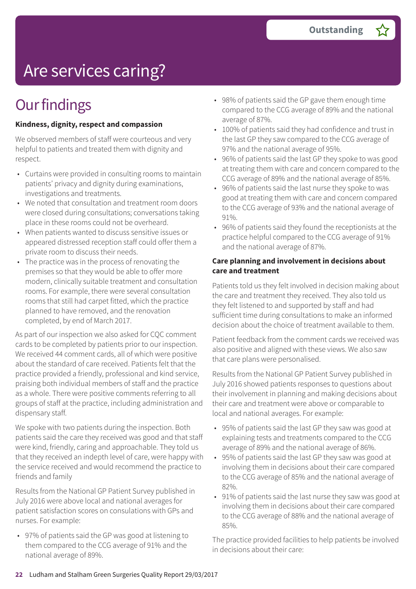# Are services caring?

## **Our findings**

#### **Kindness, dignity, respect and compassion**

We observed members of staff were courteous and very helpful to patients and treated them with dignity and respect.

- Curtains were provided in consulting rooms to maintain patients' privacy and dignity during examinations, investigations and treatments.
- We noted that consultation and treatment room doors were closed during consultations; conversations taking place in these rooms could not be overheard.
- When patients wanted to discuss sensitive issues or appeared distressed reception staff could offer them a private room to discuss their needs.
- The practice was in the process of renovating the premises so that they would be able to offer more modern, clinically suitable treatment and consultation rooms. For example, there were several consultation rooms that still had carpet fitted, which the practice planned to have removed, and the renovation completed, by end of March 2017.

As part of our inspection we also asked for CQC comment cards to be completed by patients prior to our inspection. We received 44 comment cards, all of which were positive about the standard of care received. Patients felt that the practice provided a friendly, professional and kind service, praising both individual members of staff and the practice as a whole. There were positive comments referring to all groups of staff at the practice, including administration and dispensary staff.

We spoke with two patients during the inspection. Both patients said the care they received was good and that staff were kind, friendly, caring and approachable. They told us that they received an indepth level of care, were happy with the service received and would recommend the practice to friends and family

Results from the National GP Patient Survey published in July 2016 were above local and national averages for patient satisfaction scores on consulations with GPs and nurses. For example:

• 97% of patients said the GP was good at listening to them compared to the CCG average of 91% and the national average of 89%.

- 98% of patients said the GP gave them enough time compared to the CCG average of 89% and the national average of 87%.
- 100% of patients said they had confidence and trust in the last GP they saw compared to the CCG average of 97% and the national average of 95%.
- 96% of patients said the last GP they spoke to was good at treating them with care and concern compared to the CCG average of 89% and the national average of 85%.
- 96% of patients said the last nurse they spoke to was good at treating them with care and concern compared to the CCG average of 93% and the national average of 91%.
- 96% of patients said they found the receptionists at the practice helpful compared to the CCG average of 91% and the national average of 87%.

#### **Care planning and involvement in decisions about care and treatment**

Patients told us they felt involved in decision making about the care and treatment they received. They also told us they felt listened to and supported by staff and had sufficient time during consultations to make an informed decision about the choice of treatment available to them.

Patient feedback from the comment cards we received was also positive and aligned with these views. We also saw that care plans were personalised.

Results from the National GP Patient Survey published in July 2016 showed patients responses to questions about their involvement in planning and making decisions about their care and treatment were above or comparable to local and national averages. For example:

- 95% of patients said the last GP they saw was good at explaining tests and treatments compared to the CCG average of 89% and the national average of 86%.
- 95% of patients said the last GP they saw was good at involving them in decisions about their care compared to the CCG average of 85% and the national average of 82%.
- 91% of patients said the last nurse they saw was good at involving them in decisions about their care compared to the CCG average of 88% and the national average of 85%.

The practice provided facilities to help patients be involved in decisions about their care: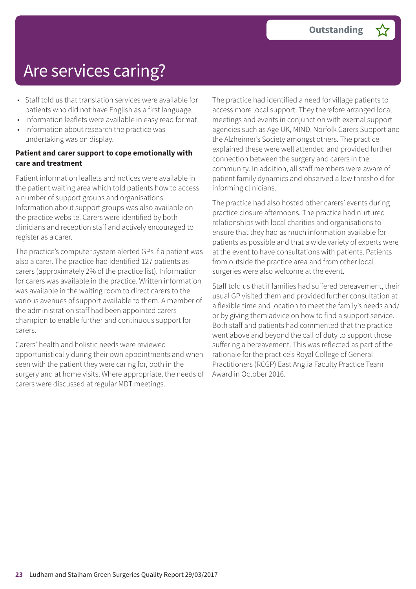## Are services caring?

- Staff told us that translation services were available for patients who did not have English as a first language.
- Information leaflets were available in easy read format. • Information about research the practice was undertaking was on display.

#### **Patient and carer support to cope emotionally with care and treatment**

Patient information leaflets and notices were available in the patient waiting area which told patients how to access a number of support groups and organisations. Information about support groups was also available on the practice website. Carers were identified by both clinicians and reception staff and actively encouraged to register as a carer.

The practice's computer system alerted GPs if a patient was also a carer. The practice had identified 127 patients as carers (approximately 2% of the practice list). Information for carers was available in the practice. Written information was available in the waiting room to direct carers to the various avenues of support available to them. A member of the administration staff had been appointed carers champion to enable further and continuous support for carers.

Carers' health and holistic needs were reviewed opportunistically during their own appointments and when seen with the patient they were caring for, both in the surgery and at home visits. Where appropriate, the needs of carers were discussed at regular MDT meetings.

The practice had identified a need for village patients to access more local support. They therefore arranged local meetings and events in conjunction with exernal support agencies such as Age UK, MIND, Norfolk Carers Support and the Alzheimer's Society amongst others. The practice explained these were well attended and provided further connection between the surgery and carers in the community. In addition, all staff members were aware of patient family dynamics and observed a low threshold for informing clinicians.

The practice had also hosted other carers' events during practice closure afternoons. The practice had nurtured relationships with local charities and organisations to ensure that they had as much information available for patients as possible and that a wide variety of experts were at the event to have consultations with patients. Patients from outside the practice area and from other local surgeries were also welcome at the event.

Staff told us that if families had suffered bereavement, their usual GP visited them and provided further consultation at a flexible time and location to meet the family's needs and/ or by giving them advice on how to find a support service. Both staff and patients had commented that the practice went above and beyond the call of duty to support those suffering a bereavement. This was reflected as part of the rationale for the practice's Royal College of General Practitioners (RCGP) East Anglia Faculty Practice Team Award in October 2016.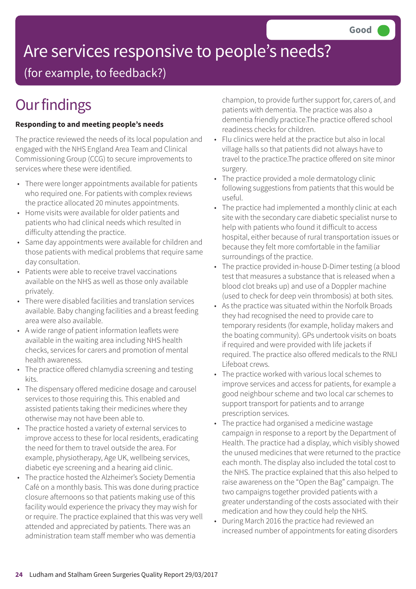# Are services responsive to people's needs?

(for example, to feedback?)

## **Our findings**

### **Responding to and meeting people's needs**

The practice reviewed the needs of its local population and engaged with the NHS England Area Team and Clinical Commissioning Group (CCG) to secure improvements to services where these were identified.

- There were longer appointments available for patients who required one. For patients with complex reviews the practice allocated 20 minutes appointments.
- Home visits were available for older patients and patients who had clinical needs which resulted in difficulty attending the practice.
- Same day appointments were available for children and those patients with medical problems that require same day consultation.
- Patients were able to receive travel vaccinations available on the NHS as well as those only available privately.
- There were disabled facilities and translation services available. Baby changing facilities and a breast feeding area were also available.
- A wide range of patient information leaflets were available in the waiting area including NHS health checks, services for carers and promotion of mental health awareness.
- The practice offered chlamydia screening and testing kits.
- The dispensary offered medicine dosage and carousel services to those requiring this. This enabled and assisted patients taking their medicines where they otherwise may not have been able to.
- The practice hosted a variety of external services to improve access to these for local residents, eradicating the need for them to travel outside the area. For example, physiotherapy, Age UK, wellbeing services, diabetic eye screening and a hearing aid clinic.
- The practice hosted the Alzheimer's Society Dementia Café on a monthly basis. This was done during practice closure afternoons so that patients making use of this facility would experience the privacy they may wish for or require. The practice explained that this was very well attended and appreciated by patients. There was an administration team staff member who was dementia

champion, to provide further support for, carers of, and patients with dementia. The practice was also a dementia friendly practice.The practice offered school readiness checks for children.

- Flu clinics were held at the practice but also in local village halls so that patients did not always have to travel to the practice.The practice offered on site minor surgery.
- The practice provided a mole dermatology clinic following suggestions from patients that this would be useful.
- The practice had implemented a monthly clinic at each site with the secondary care diabetic specialist nurse to help with patients who found it difficult to access hospital, either because of rural transportation issues or because they felt more comfortable in the familiar surroundings of the practice.
- The practice provided in-house D-Dimer testing (a blood test that measures a substance that is released when a blood clot breaks up) and use of a Doppler machine (used to check for deep vein thrombosis) at both sites.
- As the practice was situated within the Norfolk Broads they had recognised the need to provide care to temporary residents (for example, holiday makers and the boating community). GPs undertook visits on boats if required and were provided with life jackets if required. The practice also offered medicals to the RNLI Lifeboat crews.
- The practice worked with various local schemes to improve services and access for patients, for example a good neighbour scheme and two local car schemes to support transport for patients and to arrange prescription services.
- The practice had organised a medicine wastage campaign in response to a report by the Department of Health. The practice had a display, which visibly showed the unused medicines that were returned to the practice each month. The display also included the total cost to the NHS. The practice explained that this also helped to raise awareness on the "Open the Bag" campaign. The two campaigns together provided patients with a greater understanding of the costs associated with their medication and how they could help the NHS.
- During March 2016 the practice had reviewed an increased number of appointments for eating disorders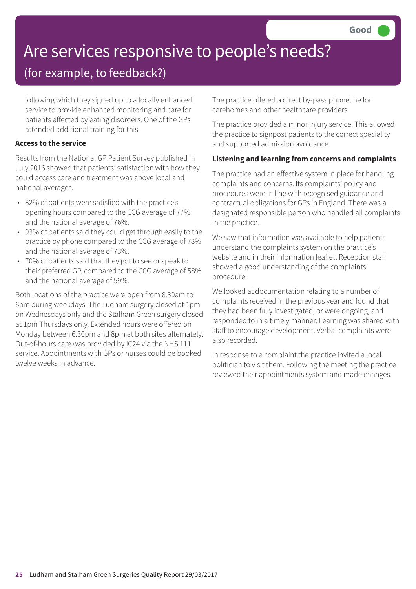# Are services responsive to people's needs?

### (for example, to feedback?)

following which they signed up to a locally enhanced service to provide enhanced monitoring and care for patients affected by eating disorders. One of the GPs attended additional training for this.

#### **Access to the service**

Results from the National GP Patient Survey published in July 2016 showed that patients' satisfaction with how they could access care and treatment was above local and national averages.

- 82% of patients were satisfied with the practice's opening hours compared to the CCG average of 77% and the national average of 76%.
- 93% of patients said they could get through easily to the practice by phone compared to the CCG average of 78% and the national average of 73%.
- 70% of patients said that they got to see or speak to their preferred GP, compared to the CCG average of 58% and the national average of 59%.

Both locations of the practice were open from 8.30am to 6pm during weekdays. The Ludham surgery closed at 1pm on Wednesdays only and the Stalham Green surgery closed at 1pm Thursdays only. Extended hours were offered on Monday between 6.30pm and 8pm at both sites alternately. Out-of-hours care was provided by IC24 via the NHS 111 service. Appointments with GPs or nurses could be booked twelve weeks in advance.

The practice offered a direct by-pass phoneline for carehomes and other healthcare providers.

The practice provided a minor injury service. This allowed the practice to signpost patients to the correct speciality and supported admission avoidance.

#### **Listening and learning from concerns and complaints**

The practice had an effective system in place for handling complaints and concerns. Its complaints' policy and procedures were in line with recognised guidance and contractual obligations for GPs in England. There was a designated responsible person who handled all complaints in the practice.

We saw that information was available to help patients understand the complaints system on the practice's website and in their information leaflet. Reception staff showed a good understanding of the complaints' procedure.

We looked at documentation relating to a number of complaints received in the previous year and found that they had been fully investigated, or were ongoing, and responded to in a timely manner. Learning was shared with staff to encourage development. Verbal complaints were also recorded.

In response to a complaint the practice invited a local politician to visit them. Following the meeting the practice reviewed their appointments system and made changes.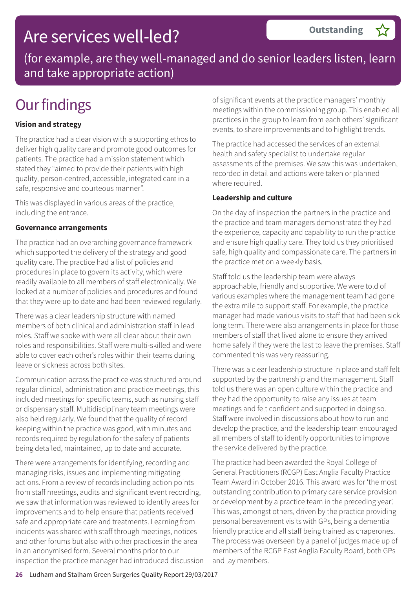### Are services well-led?

(for example, are they well-managed and do senior leaders listen, learn and take appropriate action)

## **Our findings**

### **Vision and strategy**

The practice had a clear vision with a supporting ethos to deliver high quality care and promote good outcomes for patients. The practice had a mission statement which stated they "aimed to provide their patients with high quality, person-centred, accessible, integrated care in a safe, responsive and courteous manner".

This was displayed in various areas of the practice, including the entrance.

#### **Governance arrangements**

The practice had an overarching governance framework which supported the delivery of the strategy and good quality care. The practice had a list of policies and procedures in place to govern its activity, which were readily available to all members of staff electronically. We looked at a number of policies and procedures and found that they were up to date and had been reviewed regularly.

There was a clear leadership structure with named members of both clinical and administration staff in lead roles. Staff we spoke with were all clear about their own roles and responsibilities. Staff were multi-skilled and were able to cover each other's roles within their teams during leave or sickness across both sites.

Communication across the practice was structured around regular clinical, administration and practice meetings, this included meetings for specific teams, such as nursing staff or dispensary staff. Multidisciplinary team meetings were also held regularly. We found that the quality of record keeping within the practice was good, with minutes and records required by regulation for the safety of patients being detailed, maintained, up to date and accurate.

There were arrangements for identifying, recording and managing risks, issues and implementing mitigating actions. From a review of records including action points from staff meetings, audits and significant event recording, we saw that information was reviewed to identify areas for improvements and to help ensure that patients received safe and appropriate care and treatments. Learning from incidents was shared with staff through meetings, notices and other forums but also with other practices in the area in an anonymised form. Several months prior to our inspection the practice manager had introduced discussion of significant events at the practice managers' monthly meetings within the commissioning group. This enabled all practices in the group to learn from each others' significant events, to share improvements and to highlight trends.

The practice had accessed the services of an external health and safety specialist to undertake regular assessments of the premises. We saw this was undertaken, recorded in detail and actions were taken or planned where required.

#### **Leadership and culture**

On the day of inspection the partners in the practice and the practice and team managers demonstrated they had the experience, capacity and capability to run the practice and ensure high quality care. They told us they prioritised safe, high quality and compassionate care. The partners in the practice met on a weekly basis.

Staff told us the leadership team were always approachable, friendly and supportive. We were told of various examples where the management team had gone the extra mile to support staff. For example, the practice manager had made various visits to staff that had been sick long term. There were also arrangements in place for those members of staff that lived alone to ensure they arrived home safely if they were the last to leave the premises. Staff commented this was very reassuring.

There was a clear leadership structure in place and staff felt supported by the partnership and the management. Staff told us there was an open culture within the practice and they had the opportunity to raise any issues at team meetings and felt confident and supported in doing so. Staff were involved in discussions about how to run and develop the practice, and the leadership team encouraged all members of staff to identify opportunities to improve the service delivered by the practice.

The practice had been awarded the Royal College of General Practitioners (RCGP) East Anglia Faculty Practice Team Award in October 2016. This award was for 'the most outstanding contribution to primary care service provision or development by a practice team in the preceding year'. This was, amongst others, driven by the practice providing personal bereavement visits with GPs, being a dementia friendly practice and all staff being trained as chaperones. The process was overseen by a panel of judges made up of members of the RCGP East Anglia Faculty Board, both GPs and lay members.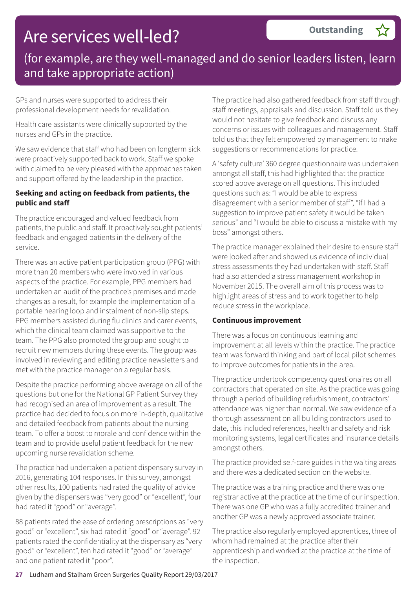### (for example, are they well-managed and do senior leaders listen, learn and take appropriate action)

GPs and nurses were supported to address their professional development needs for revalidation.

Health care assistants were clinically supported by the nurses and GPs in the practice.

We saw evidence that staff who had been on longterm sick were proactively supported back to work. Staff we spoke with claimed to be very pleased with the approaches taken and support offered by the leadership in the practice.

#### **Seeking and acting on feedback from patients, the public and staff**

The practice encouraged and valued feedback from patients, the public and staff. It proactively sought patients' feedback and engaged patients in the delivery of the service.

There was an active patient participation group (PPG) with more than 20 members who were involved in various aspects of the practice. For example, PPG members had undertaken an audit of the practice's premises and made changes as a result, for example the implementation of a portable hearing loop and instalment of non-slip steps. PPG members assisted during flu clinics and carer events, which the clinical team claimed was supportive to the team. The PPG also promoted the group and sought to recruit new members during these events. The group was involved in reviewing and editing practice newsletters and met with the practice manager on a regular basis.

Despite the practice performing above average on all of the questions but one for the National GP Patient Survey they had recognised an area of improvement as a result. The practice had decided to focus on more in-depth, qualitative and detailed feedback from patients about the nursing team. To offer a boost to morale and confidence within the team and to provide useful patient feedback for the new upcoming nurse revalidation scheme.

The practice had undertaken a patient dispensary survey in 2016, generating 104 responses. In this survey, amongst other results, 100 patients had rated the quality of advice given by the dispensers was "very good" or "excellent", four had rated it "good" or "average".

88 patients rated the ease of ordering prescriptions as "very good" or "excellent", six had rated it "good" or "average". 92 patients rated the confidentiality at the dispensary as "very good" or "excellent", ten had rated it "good" or "average" and one patient rated it "poor".

The practice had also gathered feedback from staff through staff meetings, appraisals and discussion. Staff told us they would not hesitate to give feedback and discuss any concerns or issues with colleagues and management. Staff told us that they felt empowered by management to make suggestions or recommendations for practice.

A 'safety culture' 360 degree questionnaire was undertaken amongst all staff, this had highlighted that the practice scored above average on all questions. This included questions such as: "I would be able to express disagreement with a senior member of staff", "if I had a suggestion to improve patient safety it would be taken serious" and "I would be able to discuss a mistake with my boss" amongst others.

The practice manager explained their desire to ensure staff were looked after and showed us evidence of individual stress assessments they had undertaken with staff. Staff had also attended a stress management workshop in November 2015. The overall aim of this process was to highlight areas of stress and to work together to help reduce stress in the workplace.

#### **Continuous improvement**

There was a focus on continuous learning and improvement at all levels within the practice. The practice team was forward thinking and part of local pilot schemes to improve outcomes for patients in the area.

The practice undertook competency questionaires on all contractors that operated on site. As the practice was going through a period of building refurbishment, contractors' attendance was higher than normal. We saw evidence of a thorough assessment on all building contractors used to date, this included references, health and safety and risk monitoring systems, legal certificates and insurance details amongst others.

The practice provided self-care guides in the waiting areas and there was a dedicated section on the website.

The practice was a training practice and there was one registrar active at the practice at the time of our inspection. There was one GP who was a fully accredited trainer and another GP was a newly approved associate trainer.

The practice also regularly employed apprentices, three of whom had remained at the practice after their apprenticeship and worked at the practice at the time of the inspection.